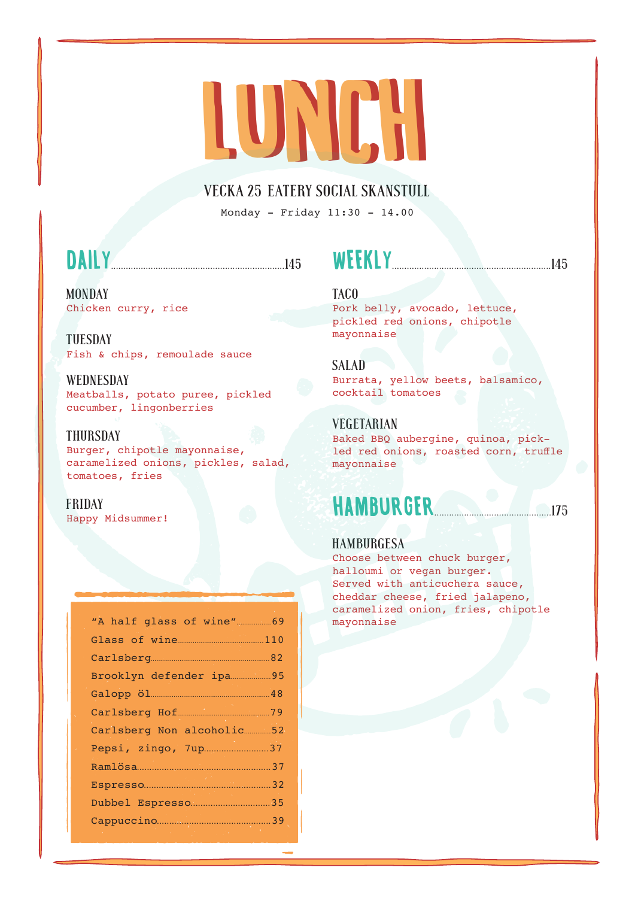# LUNIEN

#### VECKA 25 EATERY SOCIAL SKANSTULL

Monday - Friday 11:30 - 14.00

## **DAILY** 145

#### MONDAY Chicken curry, rice

TUESDAY Fish & chips, remoulade sauce

#### **WEDNESDAY** Meatballs, potato puree, pickled cucumber, lingonberries

#### THURSDAY

Burger, chipotle mayonnaise, caramelized onions, pickles, salad, tomatoes, fries

#### FRIDAY

Happy Midsummer!

| Brooklyn defender ipa 95   |  |
|----------------------------|--|
|                            |  |
| Carlsberg Hof 79           |  |
| Carlsberg Non alcoholic 52 |  |
| Pepsi, zingo, 7up37        |  |
|                            |  |
|                            |  |
| Dubbel Espresso 35         |  |
|                            |  |
|                            |  |

### WEEKLY................................................................145

#### TACO

Pork belly, avocado, lettuce, pickled red onions, chipotle mayonnaise

#### SALAD

Burrata, yellow beets, balsamico, cocktail tomatoes

#### VEGETARIAN

Baked BBQ aubergine, quinoa, pickled red onions, roasted corn, truffle mayonnaise

## HAMBURGER...............................................175

#### **HAMBURGESA**

Choose between chuck burger, halloumi or vegan burger. Served with anticuchera sauce, cheddar cheese, fried jalapeno, caramelized onion, fries, chipotle mayonnaise